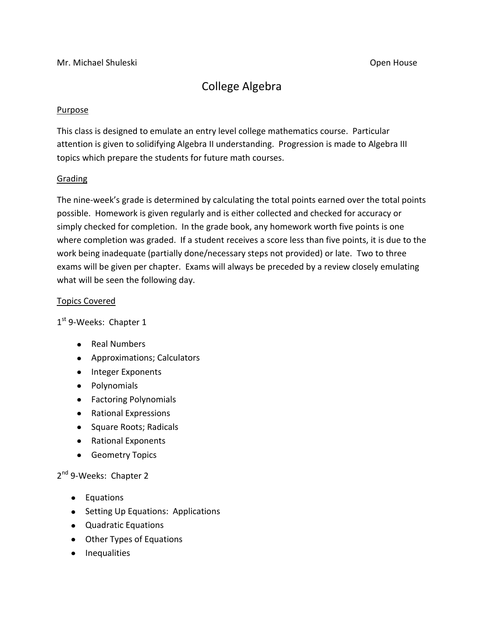# College Algebra

### Purpose

This class is designed to emulate an entry level college mathematics course. Particular attention is given to solidifying Algebra II understanding. Progression is made to Algebra III topics which prepare the students for future math courses.

#### Grading

The nine-week's grade is determined by calculating the total points earned over the total points possible. Homework is given regularly and is either collected and checked for accuracy or simply checked for completion. In the grade book, any homework worth five points is one where completion was graded. If a student receives a score less than five points, it is due to the work being inadequate (partially done/necessary steps not provided) or late. Two to three exams will be given per chapter. Exams will always be preceded by a review closely emulating what will be seen the following day.

#### Topics Covered

1<sup>st</sup> 9-Weeks: Chapter 1

- Real Numbers
- Approximations; Calculators
- Integer Exponents
- Polynomials
- Factoring Polynomials
- Rational Expressions
- Square Roots; Radicals
- Rational Exponents
- **•** Geometry Topics

## 2<sup>nd</sup> 9-Weeks: Chapter 2

- Equations
- Setting Up Equations: Applications
- Quadratic Equations
- Other Types of Equations
- Inequalities